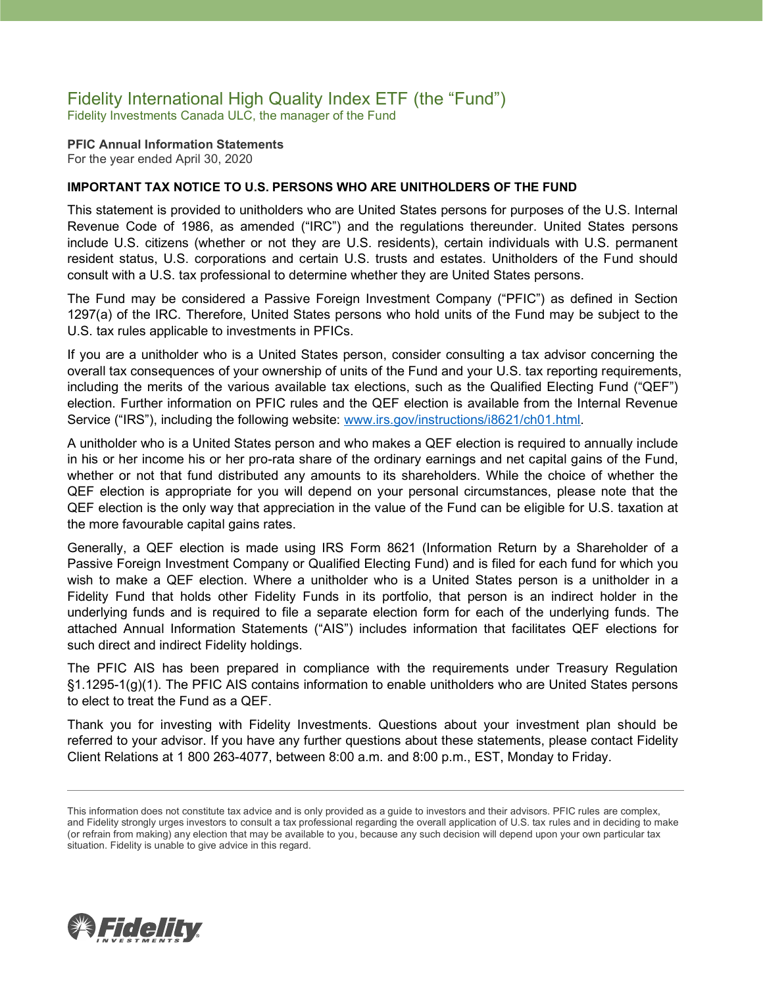### Fidelity International High Quality Index ETF (the "Fund") Fidelity Investments Canada ULC, the manager of the Fund

**PFIC Annual Information Statements** For the year ended April 30, 2020

### **IMPORTANT TAX NOTICE TO U.S. PERSONS WHO ARE UNITHOLDERS OF THE FUND**

This statement is provided to unitholders who are United States persons for purposes of the U.S. Internal Revenue Code of 1986, as amended ("IRC") and the regulations thereunder. United States persons include U.S. citizens (whether or not they are U.S. residents), certain individuals with U.S. permanent resident status, U.S. corporations and certain U.S. trusts and estates. Unitholders of the Fund should consult with a U.S. tax professional to determine whether they are United States persons.

The Fund may be considered a Passive Foreign Investment Company ("PFIC") as defined in Section 1297(a) of the IRC. Therefore, United States persons who hold units of the Fund may be subject to the U.S. tax rules applicable to investments in PFICs.

If you are a unitholder who is a United States person, consider consulting a tax advisor concerning the overall tax consequences of your ownership of units of the Fund and your U.S. tax reporting requirements, including the merits of the various available tax elections, such as the Qualified Electing Fund ("QEF") election. Further information on PFIC rules and the QEF election is available from the Internal Revenue Service ("IRS"), including the following website: [www.irs.gov/instructions/i8621/ch01.html.](http://www.irs.gov/instructions/i8621/ch01.html)

A unitholder who is a United States person and who makes a QEF election is required to annually include in his or her income his or her pro-rata share of the ordinary earnings and net capital gains of the Fund, whether or not that fund distributed any amounts to its shareholders. While the choice of whether the QEF election is appropriate for you will depend on your personal circumstances, please note that the QEF election is the only way that appreciation in the value of the Fund can be eligible for U.S. taxation at the more favourable capital gains rates.

Generally, a QEF election is made using IRS Form 8621 (Information Return by a Shareholder of a Passive Foreign Investment Company or Qualified Electing Fund) and is filed for each fund for which you wish to make a QEF election. Where a unitholder who is a United States person is a unitholder in a Fidelity Fund that holds other Fidelity Funds in its portfolio, that person is an indirect holder in the underlying funds and is required to file a separate election form for each of the underlying funds. The attached Annual Information Statements ("AIS") includes information that facilitates QEF elections for such direct and indirect Fidelity holdings.

The PFIC AIS has been prepared in compliance with the requirements under Treasury Regulation §1.1295-1(g)(1). The PFIC AIS contains information to enable unitholders who are United States persons to elect to treat the Fund as a QEF.

Thank you for investing with Fidelity Investments. Questions about your investment plan should be referred to your advisor. If you have any further questions about these statements, please contact Fidelity Client Relations at 1 800 263-4077, between 8:00 a.m. and 8:00 p.m., EST, Monday to Friday.



This information does not constitute tax advice and is only provided as a guide to investors and their advisors. PFIC rules are complex, and Fidelity strongly urges investors to consult a tax professional regarding the overall application of U.S. tax rules and in deciding to make (or refrain from making) any election that may be available to you, because any such decision will depend upon your own particular tax situation. Fidelity is unable to give advice in this regard.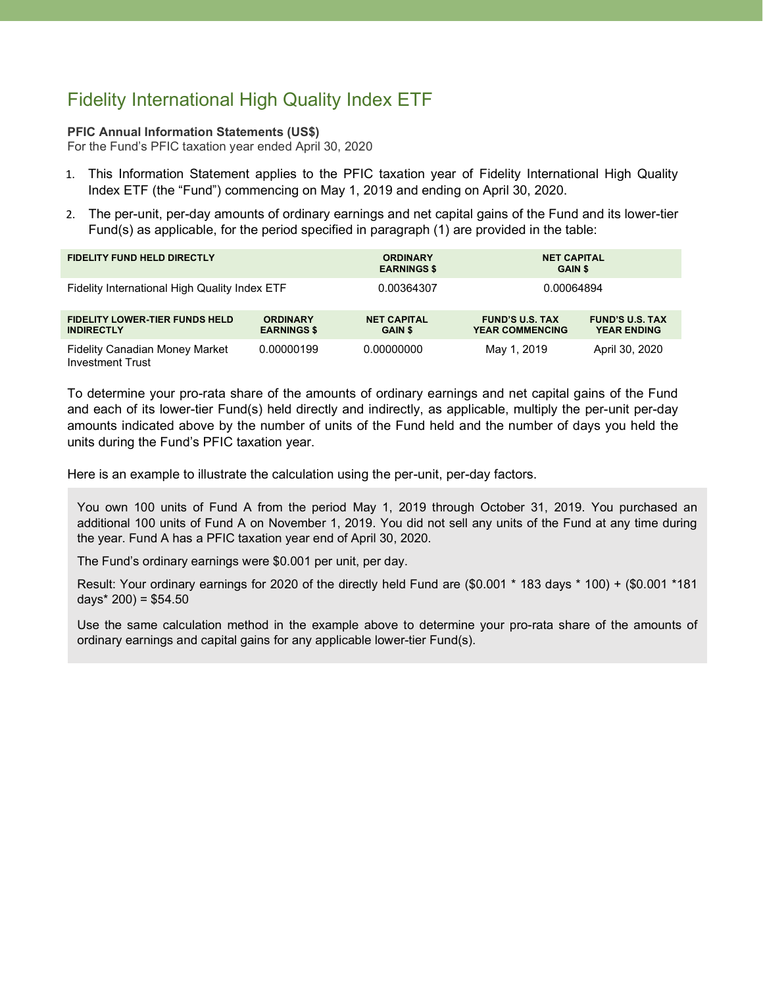# Fidelity International High Quality Index ETF

### **PFIC Annual Information Statements (US\$)**

For the Fund's PFIC taxation year ended April 30, 2020

- 1. This Information Statement applies to the PFIC taxation year of Fidelity International High Quality Index ETF (the "Fund") commencing on May 1, 2019 and ending on April 30, 2020.
- 2. The per-unit, per-day amounts of ordinary earnings and net capital gains of the Fund and its lower-tier Fund(s) as applicable, for the period specified in paragraph (1) are provided in the table:

| <b>FIDELITY FUND HELD DIRECTLY</b>                               |                                       | <b>ORDINARY</b><br><b>EARNINGS \$</b> | <b>NET CAPITAL</b><br><b>GAIN \$</b>             |                                              |
|------------------------------------------------------------------|---------------------------------------|---------------------------------------|--------------------------------------------------|----------------------------------------------|
| Fidelity International High Quality Index ETF                    |                                       | 0.00364307                            | 0.00064894                                       |                                              |
| <b>FIDELITY LOWER-TIER FUNDS HELD</b><br><b>INDIRECTLY</b>       | <b>ORDINARY</b><br><b>EARNINGS \$</b> | <b>NET CAPITAL</b><br><b>GAIN \$</b>  | <b>FUND'S U.S. TAX</b><br><b>YEAR COMMENCING</b> | <b>FUND'S U.S. TAX</b><br><b>YEAR ENDING</b> |
| <b>Fidelity Canadian Money Market</b><br><b>Investment Trust</b> | 0.00000199                            | 0.00000000                            | May 1, 2019                                      | April 30, 2020                               |

To determine your pro-rata share of the amounts of ordinary earnings and net capital gains of the Fund and each of its lower-tier Fund(s) held directly and indirectly, as applicable, multiply the per-unit per-day amounts indicated above by the number of units of the Fund held and the number of days you held the units during the Fund's PFIC taxation year.

Here is an example to illustrate the calculation using the per-unit, per-day factors.

You own 100 units of Fund A from the period May 1, 2019 through October 31, 2019. You purchased an additional 100 units of Fund A on November 1, 2019. You did not sell any units of the Fund at any time during the year. Fund A has a PFIC taxation year end of April 30, 2020.

The Fund's ordinary earnings were \$0.001 per unit, per day.

Result: Your ordinary earnings for 2020 of the directly held Fund are (\$0.001 \* 183 days \* 100) + (\$0.001 \*181 days $*$  200) = \$54.50

Use the same calculation method in the example above to determine your pro-rata share of the amounts of ordinary earnings and capital gains for any applicable lower-tier Fund(s).